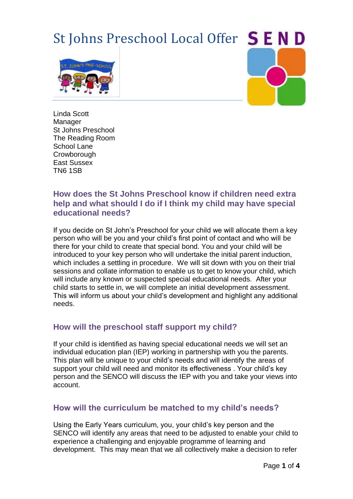# St Johns Preschool Local Offer SEND





Linda Scott Manager St Johns Preschool The Reading Room School Lane **Crowborough** East Sussex TN6 1SB

# **How does the St Johns Preschool know if children need extra help and what should I do if I think my child may have special educational needs?**

If you decide on St John's Preschool for your child we will allocate them a key person who will be you and your child's first point of contact and who will be there for your child to create that special bond. You and your child will be introduced to your key person who will undertake the initial parent induction, which includes a settling in procedure. We will sit down with you on their trial sessions and collate information to enable us to get to know your child, which will include any known or suspected special educational needs. After your child starts to settle in, we will complete an initial development assessment. This will inform us about your child's development and highlight any additional needs.

# **How will the preschool staff support my child?**

If your child is identified as having special educational needs we will set an individual education plan (IEP) working in partnership with you the parents. This plan will be unique to your child's needs and will identify the areas of support your child will need and monitor its effectiveness . Your child's key person and the SENCO will discuss the IEP with you and take your views into account.

# **How will the curriculum be matched to my child's needs?**

Using the Early Years curriculum, you, your child's key person and the SENCO will identify any areas that need to be adjusted to enable your child to experience a challenging and enjoyable programme of learning and development. This may mean that we all collectively make a decision to refer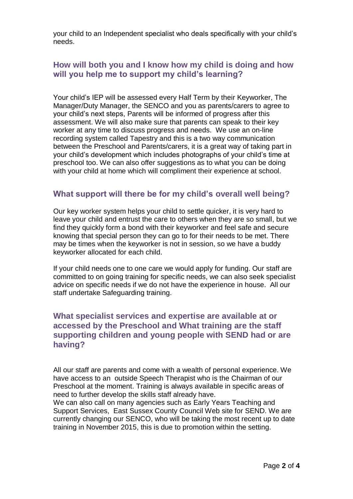your child to an Independent specialist who deals specifically with your child's needs.

# **How will both you and I know how my child is doing and how will you help me to support my child's learning?**

Your child's IEP will be assessed every Half Term by their Keyworker, The Manager/Duty Manager, the SENCO and you as parents/carers to agree to your child's next steps, Parents will be informed of progress after this assessment. We will also make sure that parents can speak to their key worker at any time to discuss progress and needs. We use an on-line recording system called Tapestry and this is a two way communication between the Preschool and Parents/carers, it is a great way of taking part in your child's development which includes photographs of your child's time at preschool too. We can also offer suggestions as to what you can be doing with your child at home which will compliment their experience at school.

## **What support will there be for my child's overall well being?**

Our key worker system helps your child to settle quicker, it is very hard to leave your child and entrust the care to others when they are so small, but we find they quickly form a bond with their keyworker and feel safe and secure knowing that special person they can go to for their needs to be met. There may be times when the keyworker is not in session, so we have a buddy keyworker allocated for each child.

If your child needs one to one care we would apply for funding. Our staff are committed to on going training for specific needs, we can also seek specialist advice on specific needs if we do not have the experience in house. All our staff undertake Safeguarding training.

## **What specialist services and expertise are available at or accessed by the Preschool and What training are the staff supporting children and young people with SEND had or are having?**

All our staff are parents and come with a wealth of personal experience. We have access to an outside Speech Therapist who is the Chairman of our Preschool at the moment. Training is always available in specific areas of need to further develop the skills staff already have.

We can also call on many agencies such as Early Years Teaching and Support Services, East Sussex County Council Web site for SEND. We are currently changing our SENCO, who will be taking the most recent up to date training in November 2015, this is due to promotion within the setting.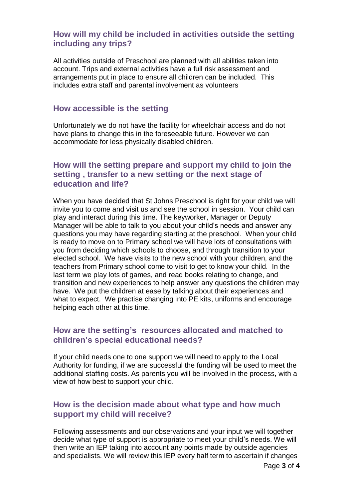## **How will my child be included in activities outside the setting including any trips?**

All activities outside of Preschool are planned with all abilities taken into account. Trips and external activities have a full risk assessment and arrangements put in place to ensure all children can be included. This includes extra staff and parental involvement as volunteers

#### **How accessible is the setting**

Unfortunately we do not have the facility for wheelchair access and do not have plans to change this in the foreseeable future. However we can accommodate for less physically disabled children.

## **How will the setting prepare and support my child to join the setting , transfer to a new setting or the next stage of education and life?**

When you have decided that St Johns Preschool is right for your child we will invite you to come and visit us and see the school in session. Your child can play and interact during this time. The keyworker, Manager or Deputy Manager will be able to talk to you about your child's needs and answer any questions you may have regarding starting at the preschool. When your child is ready to move on to Primary school we will have lots of consultations with you from deciding which schools to choose, and through transition to your elected school. We have visits to the new school with your children, and the teachers from Primary school come to visit to get to know your child. In the last term we play lots of games, and read books relating to change, and transition and new experiences to help answer any questions the children may have. We put the children at ease by talking about their experiences and what to expect. We practise changing into PE kits, uniforms and encourage helping each other at this time.

## **How are the setting's resources allocated and matched to children's special educational needs?**

If your child needs one to one support we will need to apply to the Local Authority for funding, if we are successful the funding will be used to meet the additional staffing costs. As parents you will be involved in the process, with a view of how best to support your child.

## **How is the decision made about what type and how much support my child will receive?**

Following assessments and our observations and your input we will together decide what type of support is appropriate to meet your child's needs. We will then write an IEP taking into account any points made by outside agencies and specialists. We will review this IEP every half term to ascertain if changes